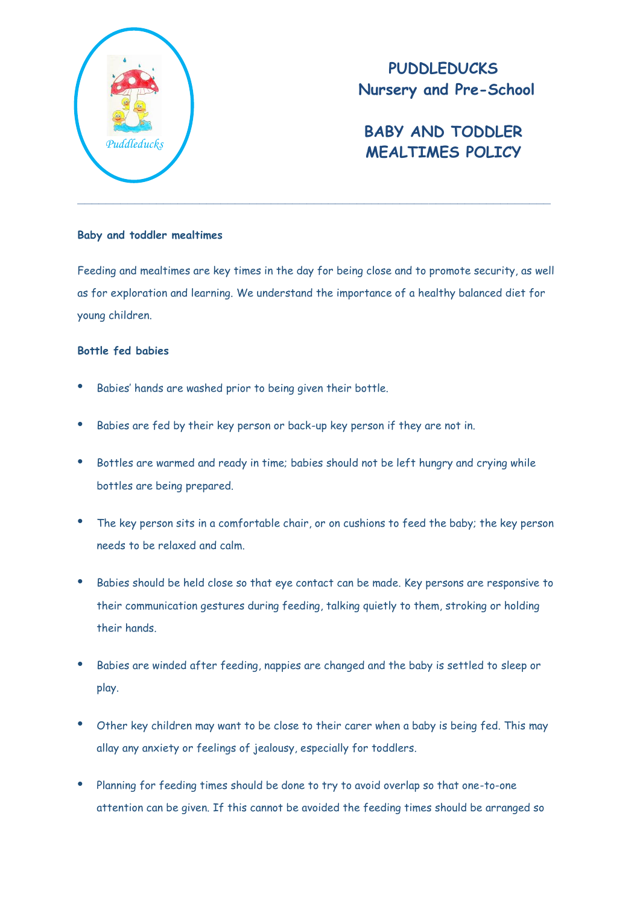

## **PUDDLEDUCKS Nursery and Pre-School**

# **BABY AND TODDLER MEALTIMES POLICY** *Puddleducks*

#### **Baby and toddler mealtimes**

Feeding and mealtimes are key times in the day for being close and to promote security, as well as for exploration and learning. We understand the importance of a healthy balanced diet for young children.

### **Bottle fed babies**

- Babies' hands are washed prior to being given their bottle.
- Babies are fed by their key person or back-up key person if they are not in.
- Bottles are warmed and ready in time; babies should not be left hungry and crying while bottles are being prepared.
- The key person sits in a comfortable chair, or on cushions to feed the baby; the key person needs to be relaxed and calm.
- Babies should be held close so that eye contact can be made. Key persons are responsive to their communication gestures during feeding, talking quietly to them, stroking or holding their hands.
- Babies are winded after feeding, nappies are changed and the baby is settled to sleep or play.
- Other key children may want to be close to their carer when a baby is being fed. This may allay any anxiety or feelings of jealousy, especially for toddlers.
- Planning for feeding times should be done to try to avoid overlap so that one-to-one attention can be given. If this cannot be avoided the feeding times should be arranged so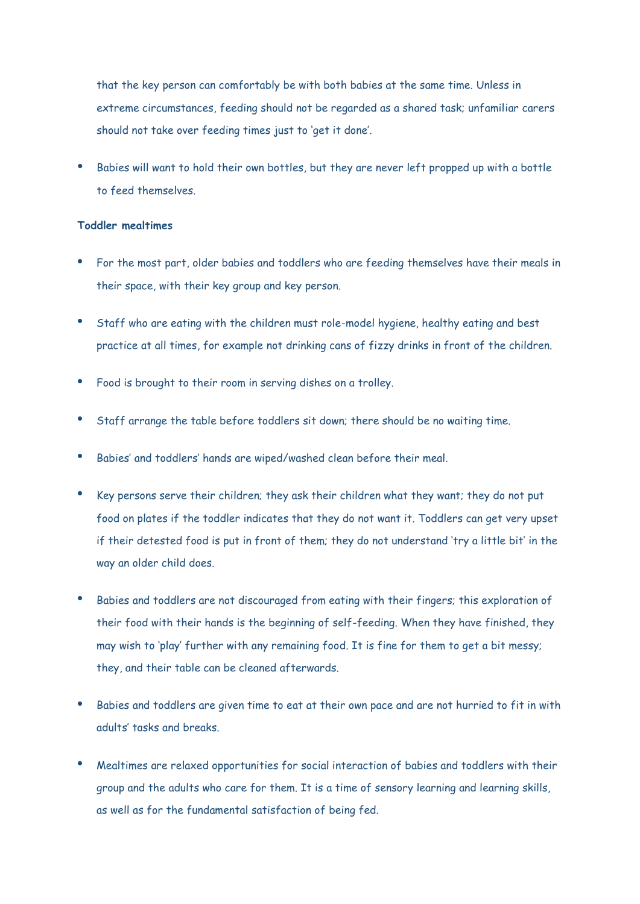that the key person can comfortably be with both babies at the same time. Unless in extreme circumstances, feeding should not be regarded as a shared task; unfamiliar carers should not take over feeding times just to 'get it done'.

 Babies will want to hold their own bottles, but they are never left propped up with a bottle to feed themselves.

#### **Toddler mealtimes**

- For the most part, older babies and toddlers who are feeding themselves have their meals in their space, with their key group and key person.
- Staff who are eating with the children must role-model hygiene, healthy eating and best practice at all times, for example not drinking cans of fizzy drinks in front of the children.
- Food is brought to their room in serving dishes on a trolley.
- Staff arrange the table before toddlers sit down; there should be no waiting time.
- Babies' and toddlers' hands are wiped/washed clean before their meal.
- Key persons serve their children; they ask their children what they want; they do not put food on plates if the toddler indicates that they do not want it. Toddlers can get very upset if their detested food is put in front of them; they do not understand 'try a little bit' in the way an older child does.
- Babies and toddlers are not discouraged from eating with their fingers; this exploration of their food with their hands is the beginning of self-feeding. When they have finished, they may wish to 'play' further with any remaining food. It is fine for them to get a bit messy; they, and their table can be cleaned afterwards.
- Babies and toddlers are given time to eat at their own pace and are not hurried to fit in with adults' tasks and breaks.
- Mealtimes are relaxed opportunities for social interaction of babies and toddlers with their group and the adults who care for them. It is a time of sensory learning and learning skills, as well as for the fundamental satisfaction of being fed.